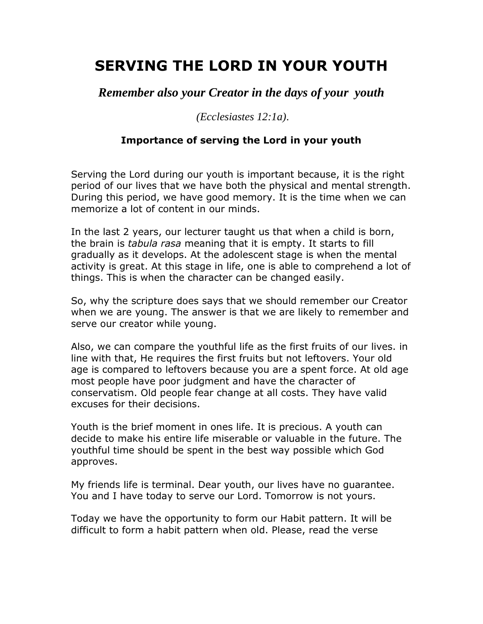# **SERVING THE LORD IN YOUR YOUTH**

*Remember also your Creator in the days of your youth*

*(Ecclesiastes 12:1a)*.

## **Importance of serving the Lord in your youth**

Serving the Lord during our youth is important because, it is the right period of our lives that we have both the physical and mental strength. During this period, we have good memory. It is the time when we can memorize a lot of content in our minds.

In the last 2 years, our lecturer taught us that when a child is born, the brain is *tabula rasa* meaning that it is empty. It starts to fill gradually as it develops. At the adolescent stage is when the mental activity is great. At this stage in life, one is able to comprehend a lot of things. This is when the character can be changed easily.

So, why the scripture does says that we should remember our Creator when we are young. The answer is that we are likely to remember and serve our creator while young.

Also, we can compare the youthful life as the first fruits of our lives. in line with that, He requires the first fruits but not leftovers. Your old age is compared to leftovers because you are a spent force. At old age most people have poor judgment and have the character of conservatism. Old people fear change at all costs. They have valid excuses for their decisions.

Youth is the brief moment in ones life. It is precious. A youth can decide to make his entire life miserable or valuable in the future. The youthful time should be spent in the best way possible which God approves.

My friends life is terminal. Dear youth, our lives have no guarantee. You and I have today to serve our Lord. Tomorrow is not yours.

Today we have the opportunity to form our Habit pattern. It will be difficult to form a habit pattern when old. Please, read the verse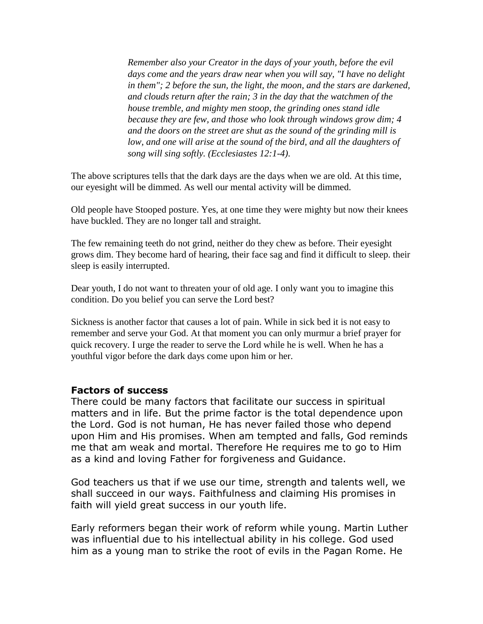*Remember also your Creator in the days of your youth, before the evil days come and the years draw near when you will say, "I have no delight in them"; 2 before the sun, the light, the moon, and the stars are darkened, and clouds return after the rain; 3 in the day that the watchmen of the house tremble, and mighty men stoop, the grinding ones stand idle because they are few, and those who look through windows grow dim; 4 and the doors on the street are shut as the sound of the grinding mill is*  low, and one will arise at the sound of the bird, and all the daughters of *song will sing softly. (Ecclesiastes 12:1-4)*.

The above scriptures tells that the dark days are the days when we are old. At this time, our eyesight will be dimmed. As well our mental activity will be dimmed.

Old people have Stooped posture. Yes, at one time they were mighty but now their knees have buckled. They are no longer tall and straight.

The few remaining teeth do not grind, neither do they chew as before. Their eyesight grows dim. They become hard of hearing, their face sag and find it difficult to sleep. their sleep is easily interrupted.

Dear youth, I do not want to threaten your of old age. I only want you to imagine this condition. Do you belief you can serve the Lord best?

Sickness is another factor that causes a lot of pain. While in sick bed it is not easy to remember and serve your God. At that moment you can only murmur a brief prayer for quick recovery. I urge the reader to serve the Lord while he is well. When he has a youthful vigor before the dark days come upon him or her.

#### **Factors of success**

There could be many factors that facilitate our success in spiritual matters and in life. But the prime factor is the total dependence upon the Lord. God is not human, He has never failed those who depend upon Him and His promises. When am tempted and falls, God reminds me that am weak and mortal. Therefore He requires me to go to Him as a kind and loving Father for forgiveness and Guidance.

God teachers us that if we use our time, strength and talents well, we shall succeed in our ways. Faithfulness and claiming His promises in faith will yield great success in our youth life.

Early reformers began their work of reform while young. Martin Luther was influential due to his intellectual ability in his college. God used him as a young man to strike the root of evils in the Pagan Rome. He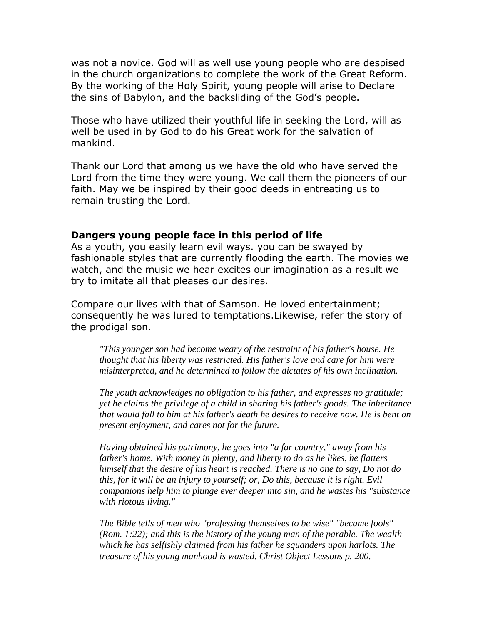was not a novice. God will as well use young people who are despised in the church organizations to complete the work of the Great Reform. By the working of the Holy Spirit, young people will arise to Declare the sins of Babylon, and the backsliding of the God's people.

Those who have utilized their youthful life in seeking the Lord, will as well be used in by God to do his Great work for the salvation of mankind.

Thank our Lord that among us we have the old who have served the Lord from the time they were young. We call them the pioneers of our faith. May we be inspired by their good deeds in entreating us to remain trusting the Lord.

#### **Dangers young people face in this period of life**

As a youth, you easily learn evil ways. you can be swayed by fashionable styles that are currently flooding the earth. The movies we watch, and the music we hear excites our imagination as a result we try to imitate all that pleases our desires.

Compare our lives with that of Samson. He loved entertainment; consequently he was lured to temptations.Likewise, refer the story of the prodigal son.

*"This younger son had become weary of the restraint of his father's house. He thought that his liberty was restricted. His father's love and care for him were misinterpreted, and he determined to follow the dictates of his own inclination.* 

*The youth acknowledges no obligation to his father, and expresses no gratitude; yet he claims the privilege of a child in sharing his father's goods. The inheritance that would fall to him at his father's death he desires to receive now. He is bent on present enjoyment, and cares not for the future.* 

*Having obtained his patrimony, he goes into "a far country," away from his father's home. With money in plenty, and liberty to do as he likes, he flatters himself that the desire of his heart is reached. There is no one to say, Do not do this, for it will be an injury to yourself; or, Do this, because it is right. Evil companions help him to plunge ever deeper into sin, and he wastes his "substance with riotous living."* 

*The Bible tells of men who "professing themselves to be wise" "became fools" (Rom. 1:22); and this is the history of the young man of the parable. The wealth which he has selfishly claimed from his father he squanders upon harlots. The treasure of his young manhood is wasted. Christ Object Lessons p. 200.*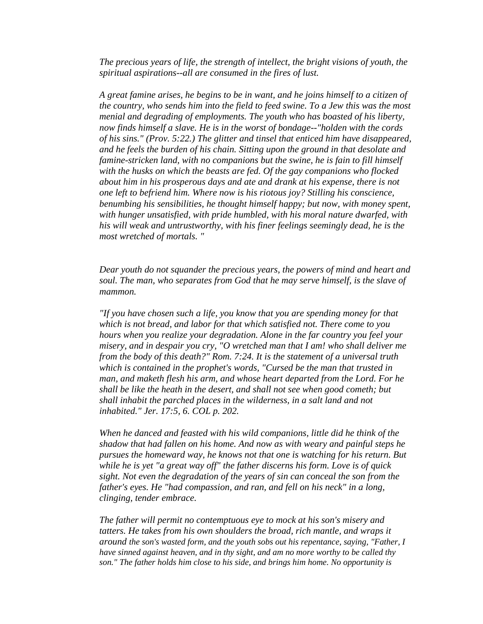*The precious years of life, the strength of intellect, the bright visions of youth, the spiritual aspirations--all are consumed in the fires of lust.* 

*A great famine arises, he begins to be in want, and he joins himself to a citizen of the country, who sends him into the field to feed swine. To a Jew this was the most menial and degrading of employments. The youth who has boasted of his liberty, now finds himself a slave. He is in the worst of bondage--"holden with the cords of his sins." (Prov. 5:22.) The glitter and tinsel that enticed him have disappeared, and he feels the burden of his chain. Sitting upon the ground in that desolate and famine-stricken land, with no companions but the swine, he is fain to fill himself with the husks on which the beasts are fed. Of the gay companions who flocked about him in his prosperous days and ate and drank at his expense, there is not one left to befriend him. Where now is his riotous joy? Stilling his conscience, benumbing his sensibilities, he thought himself happy; but now, with money spent, with hunger unsatisfied, with pride humbled, with his moral nature dwarfed, with his will weak and untrustworthy, with his finer feelings seemingly dead, he is the most wretched of mortals. "*

*Dear youth do not squander the precious years, the powers of mind and heart and soul. The man, who separates from God that he may serve himself, is the slave of mammon.* 

*"If you have chosen such a life, you know that you are spending money for that which is not bread, and labor for that which satisfied not. There come to you hours when you realize your degradation. Alone in the far country you feel your misery, and in despair you cry, "O wretched man that I am! who shall deliver me from the body of this death?" Rom. 7:24. It is the statement of a universal truth which is contained in the prophet's words, "Cursed be the man that trusted in man, and maketh flesh his arm, and whose heart departed from the Lord. For he shall be like the heath in the desert, and shall not see when good cometh; but shall inhabit the parched places in the wilderness, in a salt land and not inhabited." Jer. 17:5, 6. COL p. 202.*

*When he danced and feasted with his wild companions, little did he think of the shadow that had fallen on his home. And now as with weary and painful steps he pursues the homeward way, he knows not that one is watching for his return. But while he is yet "a great way off" the father discerns his form. Love is of quick sight. Not even the degradation of the years of sin can conceal the son from the father's eyes. He "had compassion, and ran, and fell on his neck" in a long, clinging, tender embrace.* 

*The father will permit no contemptuous eye to mock at his son's misery and tatters. He takes from his own shoulders the broad, rich mantle, and wraps it around the son's wasted form, and the youth sobs out his repentance, saying, "Father, I have sinned against heaven, and in thy sight, and am no more worthy to be called thy son." The father holds him close to his side, and brings him home. No opportunity is*